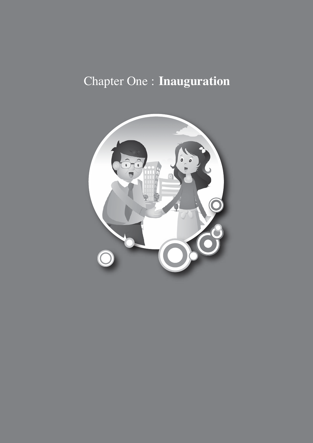# Chapter One : **Inauguration**

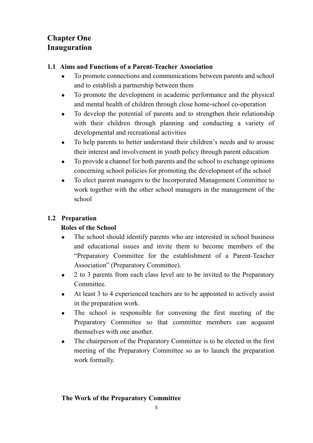## **Chapter One Inauguration**

## **1.1 Aims and Functions of a Parent-Teacher Association**

- To promote connections and communications between parents and school and to establish a partnership between them
- To promote the development in academic performance and the physical and mental health of children through close home-school co-operation
- To develop the potential of parents and to strengthen their relationship with their children through planning and conducting a variety of developmental and recreational activities
- To help parents to better understand their children's needs and to arouse their interest and involvement in youth policy through parent education
- To provide a channel for both parents and the school to exchange opinions concerning school policies for promoting the development of the school
- To elect parent managers to the Incorporated Management Committee to work together with the other school managers in the management of the school

## **1.2 Preparation**

## **Roles of the School**

- The school should identify parents who are interested in school business and educational issues and invite them to become members of the "Preparatory Committee for the establishment of a Parent-Teacher Association" (Preparatory Committee).
- 2 to 3 parents from each class level are to be invited to the Preparatory Committee.
- At least 3 to 4 experienced teachers are to be appointed to actively assist in the preparation work.
- The school is responsible for convening the first meeting of the Preparatory Committee so that committee members can acquaint themselves with one another.
- The chairperson of the Preparatory Committee is to be elected in the first meeting of the Preparatory Committee so as to launch the preparation work formally.

## **The Work of the Preparatory Committee**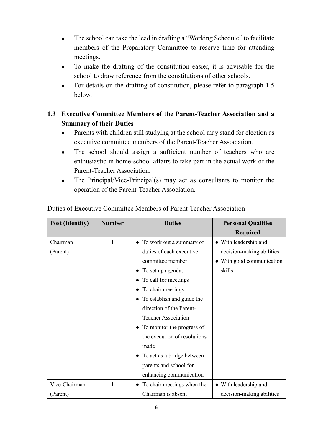- The school can take the lead in drafting a "Working Schedule" to facilitate members of the Preparatory Committee to reserve time for attending meetings.
- To make the drafting of the constitution easier, it is advisable for the school to draw reference from the constitutions of other schools.
- For details on the drafting of constitution, please refer to paragraph 1.5 below.

## **1.3 Executive Committee Members of the Parent-Teacher Association and a Summary of their Duties**

- Parents with children still studying at the school may stand for election as executive committee members of the Parent-Teacher Association.
- The school should assign a sufficient number of teachers who are enthusiastic in home-school affairs to take part in the actual work of the Parent-Teacher Association.
- The Principal/Vice-Principal(s) may act as consultants to monitor the operation of the Parent-Teacher Association.

| <b>Post (Identity)</b> | <b>Number</b> | <b>Duties</b>                | <b>Personal Qualities</b> |
|------------------------|---------------|------------------------------|---------------------------|
|                        |               |                              | <b>Required</b>           |
| Chairman               | 1             | To work out a summary of     | • With leadership and     |
| (Parent)               |               | duties of each executive     | decision-making abilities |
|                        |               | committee member             | • With good communication |
|                        |               | To set up agendas            | skills                    |
|                        |               | To call for meetings         |                           |
|                        |               | To chair meetings            |                           |
|                        |               | To establish and guide the   |                           |
|                        |               | direction of the Parent-     |                           |
|                        |               | <b>Teacher Association</b>   |                           |
|                        |               | To monitor the progress of   |                           |
|                        |               | the execution of resolutions |                           |
|                        |               | made                         |                           |
|                        |               | To act as a bridge between   |                           |
|                        |               | parents and school for       |                           |
|                        |               | enhancing communication      |                           |
| Vice-Chairman          |               | To chair meetings when the   | • With leadership and     |
| (Parent)               |               | Chairman is absent           | decision-making abilities |

Duties of Executive Committee Members of Parent-Teacher Association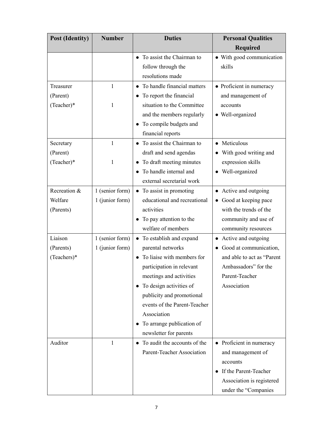| <b>Post (Identity)</b> | <b>Number</b>   | <b>Duties</b>                        | <b>Personal Qualities</b>        |
|------------------------|-----------------|--------------------------------------|----------------------------------|
|                        |                 |                                      | <b>Required</b>                  |
|                        |                 | To assist the Chairman to            | • With good communication        |
|                        |                 | follow through the                   | skills                           |
|                        |                 | resolutions made                     |                                  |
| Treasurer              | $\mathbf{1}$    | To handle financial matters          | • Proficient in numeracy         |
| (Parent)               |                 | To report the financial<br>$\bullet$ | and management of                |
| (Teacher)*             | 1               | situation to the Committee           | accounts                         |
|                        |                 | and the members regularly            | • Well-organized                 |
|                        |                 | To compile budgets and               |                                  |
|                        |                 | financial reports                    |                                  |
| Secretary              | 1               | To assist the Chairman to            | • Meticulous                     |
| (Parent)               |                 | draft and send agendas               | • With good writing and          |
| (Teacher)*             | 1               | To draft meeting minutes             | expression skills                |
|                        |                 | To handle internal and               | Well-organized                   |
|                        |                 | external secretarial work            |                                  |
| Recreation &           | 1 (senior form) | To assist in promoting<br>$\bullet$  | Active and outgoing              |
| Welfare                | 1 (junior form) | educational and recreational         | Good at keeping pace             |
| (Parents)              |                 | activities                           | with the trends of the           |
|                        |                 | To pay attention to the              | community and use of             |
|                        |                 | welfare of members                   | community resources              |
| Liaison                | 1 (senior form) | To establish and expand<br>$\bullet$ | Active and outgoing<br>$\bullet$ |
| (Parents)              | 1 (junior form) | parental networks                    | Good at communication,           |
| (Teachers)*            |                 | To liaise with members for           | and able to act as "Parent       |
|                        |                 | participation in relevant            | Ambassadors" for the             |
|                        |                 | meetings and activities              | Parent-Teacher                   |
|                        |                 | To design activities of              | Association                      |
|                        |                 | publicity and promotional            |                                  |
|                        |                 | events of the Parent-Teacher         |                                  |
|                        |                 | Association                          |                                  |
|                        |                 | To arrange publication of            |                                  |
|                        |                 | newsletter for parents               |                                  |
| Auditor                | 1               | To audit the accounts of the         | • Proficient in numeracy         |
|                        |                 | Parent-Teacher Association           | and management of                |
|                        |                 |                                      | accounts                         |
|                        |                 |                                      | If the Parent-Teacher            |
|                        |                 |                                      | Association is registered        |
|                        |                 |                                      | under the "Companies             |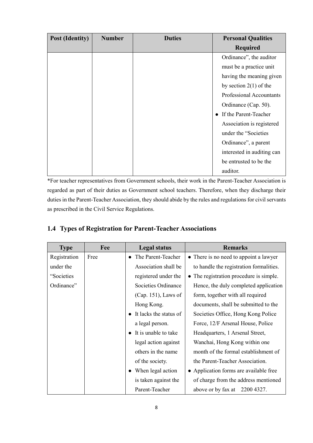| <b>Post (Identity)</b> | <b>Number</b> | <b>Duties</b> | <b>Personal Qualities</b>          |
|------------------------|---------------|---------------|------------------------------------|
|                        |               |               | <b>Required</b>                    |
|                        |               |               | Ordinance", the auditor            |
|                        |               |               | must be a practice unit            |
|                        |               |               | having the meaning given           |
|                        |               |               | by section $2(1)$ of the           |
|                        |               |               | <b>Professional Accountants</b>    |
|                        |               |               | Ordinance (Cap. 50).               |
|                        |               |               | If the Parent-Teacher<br>$\bullet$ |
|                        |               |               | Association is registered          |
|                        |               |               | under the "Societies               |
|                        |               |               | Ordinance", a parent               |
|                        |               |               | interested in auditing can         |
|                        |               |               | be entrusted to be the             |
|                        |               |               | auditor.                           |

\*For teacher representatives from Government schools, their work in the Parent-Teacher Association is regarded as part of their duties as Government school teachers. Therefore, when they discharge their duties in the Parent-Teacher Association, they should abide by the rules and regulations for civil servants as prescribed in the Civil Service Regulations.

| <b>Type</b>  | Fee  | <b>Legal status</b>      | <b>Remarks</b>                          |
|--------------|------|--------------------------|-----------------------------------------|
| Registration | Free | The Parent-Teacher       | • There is no need to appoint a lawyer  |
| under the    |      | Association shall be     | to handle the registration formalities. |
| "Societies   |      | registered under the     | • The registration procedure is simple. |
| Ordinance"   |      | Societies Ordinance      | Hence, the duly completed application   |
|              |      | $(Cap. 151)$ , Laws of   | form, together with all required        |
|              |      | Hong Kong.               | documents, shall be submitted to the    |
|              |      | • It lacks the status of | Societies Office, Hong Kong Police      |
|              |      | a legal person.          | Force, 12/F Arsenal House, Police       |
|              |      | • It is unable to take   | Headquarters, 1 Arsenal Street,         |
|              |      | legal action against     | Wanchai, Hong Kong within one           |
|              |      | others in the name       | month of the formal establishment of    |
|              |      | of the society.          | the Parent-Teacher Association.         |
|              |      | When legal action        | • Application forms are available free  |
|              |      | is taken against the     | of charge from the address mentioned    |
|              |      | Parent-Teacher           | above or by fax at $2200$ 4327.         |

## **1.4 Types of Registration for Parent-Teacher Associations**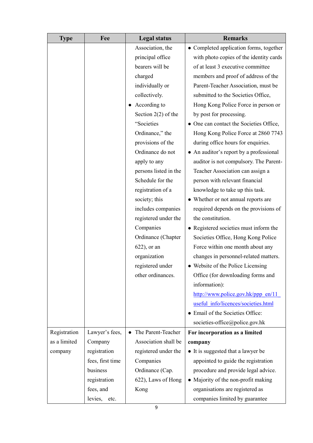| <b>Type</b>  | Fee              | <b>Legal status</b>   | <b>Remarks</b>                                                                  |
|--------------|------------------|-----------------------|---------------------------------------------------------------------------------|
|              |                  | Association, the      | • Completed application forms, together                                         |
|              |                  | principal office      | with photo copies of the identity cards                                         |
|              |                  | bearers will be       | of at least 3 executive committee                                               |
|              |                  | charged               | members and proof of address of the                                             |
|              |                  | individually or       | Parent-Teacher Association, must be                                             |
|              |                  | collectively.         | submitted to the Societies Office,                                              |
|              |                  | According to          | Hong Kong Police Force in person or                                             |
|              |                  | Section $2(2)$ of the | by post for processing.                                                         |
|              |                  | "Societies            | • One can contact the Societies Office,                                         |
|              |                  | Ordinance," the       | Hong Kong Police Force at 2860 7743                                             |
|              |                  | provisions of the     | during office hours for enquiries.                                              |
|              |                  | Ordinance do not      | • An auditor's report by a professional                                         |
|              |                  | apply to any          | auditor is not compulsory. The Parent-                                          |
|              |                  | persons listed in the | Teacher Association can assign a                                                |
|              |                  | Schedule for the      | person with relevant financial                                                  |
|              |                  | registration of a     | knowledge to take up this task.                                                 |
|              |                  | society; this         | • Whether or not annual reports are                                             |
|              |                  | includes companies    | required depends on the provisions of                                           |
|              |                  | registered under the  | the constitution.                                                               |
|              |                  | Companies             | • Registered societies must inform the                                          |
|              |                  | Ordinance (Chapter    | Societies Office, Hong Kong Police                                              |
|              |                  | $622$ ), or an        | Force within one month about any                                                |
|              |                  | organization          | changes in personnel-related matters.                                           |
|              |                  | registered under      | • Website of the Police Licensing                                               |
|              |                  | other ordinances.     | Office (for downloading forms and                                               |
|              |                  |                       | information):                                                                   |
|              |                  |                       | $\frac{http://www.police.gov.hk/ppp en/11}{http://www.police.gov.hk/ppp en/11}$ |
|              |                  |                       | useful info/licences/societies.html                                             |
|              |                  |                       | • Email of the Societies Office:                                                |
|              |                  |                       | societies-office@police.gov.hk                                                  |
| Registration | Lawyer's fees,   | The Parent-Teacher    | For incorporation as a limited                                                  |
| as a limited | Company          | Association shall be  | company                                                                         |
| company      | registration     | registered under the  | • It is suggested that a lawyer be                                              |
|              | fees, first time | Companies             | appointed to guide the registration                                             |
|              | business         | Ordinance (Cap.       | procedure and provide legal advice.                                             |
|              | registration     | 622), Laws of Hong    | • Majority of the non-profit making                                             |
|              | fees, and        | Kong                  | organisations are registered as                                                 |
|              | levies,<br>etc.  |                       | companies limited by guarantee                                                  |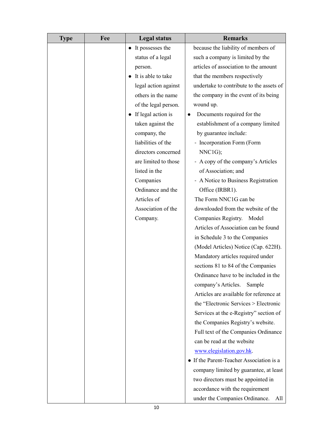| <b>Type</b> | Fee | <b>Legal status</b>             | <b>Remarks</b>                           |
|-------------|-----|---------------------------------|------------------------------------------|
|             |     | It possesses the                | because the liability of members of      |
|             |     | status of a legal               | such a company is limited by the         |
|             |     | person.                         | articles of association to the amount    |
|             |     | It is able to take              | that the members respectively            |
|             |     | legal action against            | undertake to contribute to the assets of |
|             |     | others in the name              | the company in the event of its being    |
|             |     | of the legal person.            | wound up.                                |
|             |     | If legal action is<br>$\bullet$ | Documents required for the               |
|             |     | taken against the               | establishment of a company limited       |
|             |     | company, the                    | by guarantee include:                    |
|             |     | liabilities of the              | - Incorporation Form (Form               |
|             |     | directors concerned             | NNC1G);                                  |
|             |     | are limited to those            | - A copy of the company's Articles       |
|             |     | listed in the                   | of Association; and                      |
|             |     | Companies                       | - A Notice to Business Registration      |
|             |     | Ordinance and the               | Office (IRBR1).                          |
|             |     | Articles of                     | The Form NNC1G can be                    |
|             |     | Association of the              | downloaded from the website of the       |
|             |     | Company.                        | Companies Registry. Model                |
|             |     |                                 | Articles of Association can be found     |
|             |     |                                 | in Schedule 3 to the Companies           |
|             |     |                                 | (Model Articles) Notice (Cap. 622H).     |
|             |     |                                 | Mandatory articles required under        |
|             |     |                                 | sections 81 to 84 of the Companies       |
|             |     |                                 | Ordinance have to be included in the     |
|             |     |                                 | company's Articles.<br>Sample            |
|             |     |                                 | Articles are available for reference at  |
|             |     |                                 | the "Electronic Services > Electronic    |
|             |     |                                 | Services at the e-Registry" section of   |
|             |     |                                 | the Companies Registry's website.        |
|             |     |                                 | Full text of the Companies Ordinance     |
|             |     |                                 | can be read at the website               |
|             |     |                                 | www.elegislation.gov.hk.                 |
|             |     |                                 | • If the Parent-Teacher Association is a |
|             |     |                                 | company limited by guarantee, at least   |
|             |     |                                 | two directors must be appointed in       |
|             |     |                                 | accordance with the requirement          |
|             |     |                                 | under the Companies Ordinance.<br>All    |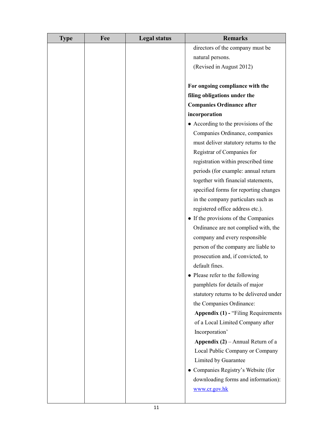| <b>Type</b> | Fee | <b>Legal status</b> | <b>Remarks</b>                             |
|-------------|-----|---------------------|--------------------------------------------|
|             |     |                     | directors of the company must be           |
|             |     |                     | natural persons.                           |
|             |     |                     | (Revised in August 2012)                   |
|             |     |                     |                                            |
|             |     |                     | For ongoing compliance with the            |
|             |     |                     | filing obligations under the               |
|             |     |                     | <b>Companies Ordinance after</b>           |
|             |     |                     | incorporation                              |
|             |     |                     | • According to the provisions of the       |
|             |     |                     | Companies Ordinance, companies             |
|             |     |                     | must deliver statutory returns to the      |
|             |     |                     | Registrar of Companies for                 |
|             |     |                     | registration within prescribed time        |
|             |     |                     | periods (for example: annual return        |
|             |     |                     | together with financial statements,        |
|             |     |                     | specified forms for reporting changes      |
|             |     |                     | in the company particulars such as         |
|             |     |                     | registered office address etc.).           |
|             |     |                     | • If the provisions of the Companies       |
|             |     |                     | Ordinance are not complied with, the       |
|             |     |                     | company and every responsible              |
|             |     |                     | person of the company are liable to        |
|             |     |                     | prosecution and, if convicted, to          |
|             |     |                     | default fines.                             |
|             |     |                     | • Please refer to the following            |
|             |     |                     | pamphlets for details of major             |
|             |     |                     | statutory returns to be delivered under    |
|             |     |                     | the Companies Ordinance:                   |
|             |     |                     | <b>Appendix (1) - "Filing Requirements</b> |
|             |     |                     | of a Local Limited Company after           |
|             |     |                     | Incorporation'                             |
|             |     |                     | <b>Appendix (2)</b> – Annual Return of a   |
|             |     |                     | Local Public Company or Company            |
|             |     |                     | Limited by Guarantee                       |
|             |     |                     | • Companies Registry's Website (for        |
|             |     |                     | downloading forms and information):        |
|             |     |                     | www.cr.gov.hk                              |
|             |     |                     |                                            |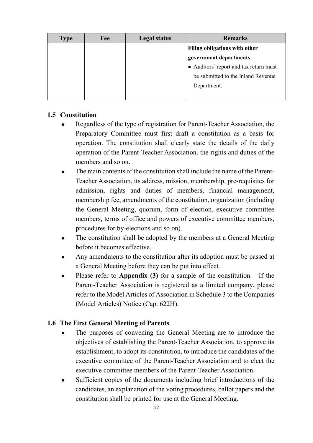| <b>Type</b> | Fee | <b>Legal status</b> | <b>Remarks</b>                         |
|-------------|-----|---------------------|----------------------------------------|
|             |     |                     | <b>Filing obligations with other</b>   |
|             |     |                     | government departments                 |
|             |     |                     | • Auditors' report and tax return must |
|             |     |                     | be submitted to the Inland Revenue     |
|             |     |                     | Department.                            |
|             |     |                     |                                        |

#### **1.5 Constitution**

- Regardless of the type of registration for Parent-Teacher Association, the Preparatory Committee must first draft a constitution as a basis for operation. The constitution shall clearly state the details of the daily operation of the Parent-Teacher Association, the rights and duties of the members and so on.
- The main contents of the constitution shall include the name of the Parent-Teacher Association, its address, mission, membership, pre-requisites for admission, rights and duties of members, financial management, membership fee, amendments of the constitution, organization (including the General Meeting, quorum, form of election, executive committee members, terms of office and powers of executive committee members, procedures for by-elections and so on).
- The constitution shall be adopted by the members at a General Meeting before it becomes effective.
- Any amendments to the constitution after its adoption must be passed at a General Meeting before they can be put into effect.
- Please refer to **Appendix (3)** for a sample of the constitution. If the Parent-Teacher Association is registered as a limited company, please refer to the Model Articles of Association in Schedule 3 to the Companies (Model Articles) Notice (Cap. 622H).

#### **1.6 The First General Meeting of Parents**

- The purposes of convening the General Meeting are to introduce the objectives of establishing the Parent-Teacher Association, to approve its establishment, to adopt its constitution, to introduce the candidates of the executive committee of the Parent-Teacher Association and to elect the executive committee members of the Parent-Teacher Association.
- Sufficient copies of the documents including brief introductions of the candidates, an explanation of the voting procedures, ballot papers and the constitution shall be printed for use at the General Meeting.